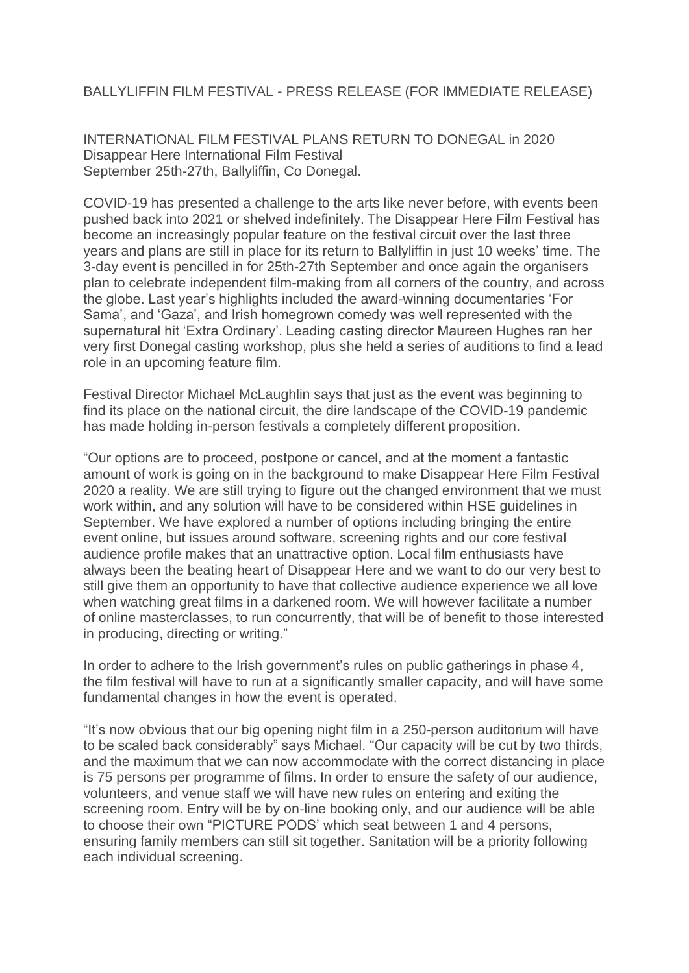## BALLYLIFFIN FILM FESTIVAL - PRESS RELEASE (FOR IMMEDIATE RELEASE)

INTERNATIONAL FILM FESTIVAL PLANS RETURN TO DONEGAL in 2020 Disappear Here International Film Festival September 25th-27th, Ballyliffin, Co Donegal.

COVID-19 has presented a challenge to the arts like never before, with events been pushed back into 2021 or shelved indefinitely. The Disappear Here Film Festival has become an increasingly popular feature on the festival circuit over the last three years and plans are still in place for its return to Ballyliffin in just 10 weeks' time. The 3-day event is pencilled in for 25th-27th September and once again the organisers plan to celebrate independent film-making from all corners of the country, and across the globe. Last year's highlights included the award-winning documentaries 'For Sama', and 'Gaza', and Irish homegrown comedy was well represented with the supernatural hit 'Extra Ordinary'. Leading casting director Maureen Hughes ran her very first Donegal casting workshop, plus she held a series of auditions to find a lead role in an upcoming feature film.

Festival Director Michael McLaughlin says that just as the event was beginning to find its place on the national circuit, the dire landscape of the COVID-19 pandemic has made holding in-person festivals a completely different proposition.

"Our options are to proceed, postpone or cancel, and at the moment a fantastic amount of work is going on in the background to make Disappear Here Film Festival 2020 a reality. We are still trying to figure out the changed environment that we must work within, and any solution will have to be considered within HSE guidelines in September. We have explored a number of options including bringing the entire event online, but issues around software, screening rights and our core festival audience profile makes that an unattractive option. Local film enthusiasts have always been the beating heart of Disappear Here and we want to do our very best to still give them an opportunity to have that collective audience experience we all love when watching great films in a darkened room. We will however facilitate a number of online masterclasses, to run concurrently, that will be of benefit to those interested in producing, directing or writing."

In order to adhere to the Irish government's rules on public gatherings in phase 4, the film festival will have to run at a significantly smaller capacity, and will have some fundamental changes in how the event is operated.

"It's now obvious that our big opening night film in a 250-person auditorium will have to be scaled back considerably" says Michael. "Our capacity will be cut by two thirds, and the maximum that we can now accommodate with the correct distancing in place is 75 persons per programme of films. In order to ensure the safety of our audience, volunteers, and venue staff we will have new rules on entering and exiting the screening room. Entry will be by on-line booking only, and our audience will be able to choose their own "PICTURE PODS' which seat between 1 and 4 persons, ensuring family members can still sit together. Sanitation will be a priority following each individual screening.